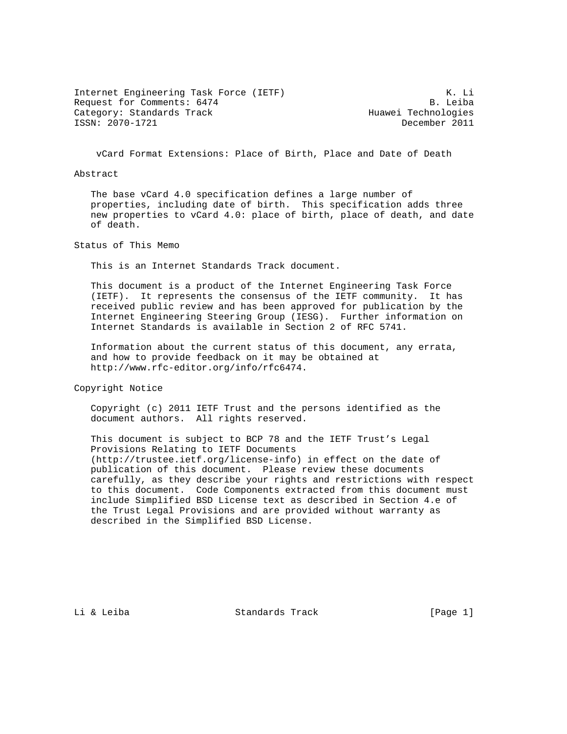Internet Engineering Task Force (IETF) 6 (1999) K. Li Request for Comments: 6474 Request for Comments: 6474 Category: Standards Track Huawei Technologies ISSN: 2070-1721 December 2011

vCard Format Extensions: Place of Birth, Place and Date of Death

## Abstract

 The base vCard 4.0 specification defines a large number of properties, including date of birth. This specification adds three new properties to vCard 4.0: place of birth, place of death, and date of death.

Status of This Memo

This is an Internet Standards Track document.

 This document is a product of the Internet Engineering Task Force (IETF). It represents the consensus of the IETF community. It has received public review and has been approved for publication by the Internet Engineering Steering Group (IESG). Further information on Internet Standards is available in Section 2 of RFC 5741.

 Information about the current status of this document, any errata, and how to provide feedback on it may be obtained at http://www.rfc-editor.org/info/rfc6474.

Copyright Notice

 Copyright (c) 2011 IETF Trust and the persons identified as the document authors. All rights reserved.

 This document is subject to BCP 78 and the IETF Trust's Legal Provisions Relating to IETF Documents (http://trustee.ietf.org/license-info) in effect on the date of publication of this document. Please review these documents carefully, as they describe your rights and restrictions with respect to this document. Code Components extracted from this document must include Simplified BSD License text as described in Section 4.e of the Trust Legal Provisions and are provided without warranty as described in the Simplified BSD License.

Li & Leiba Standards Track [Page 1]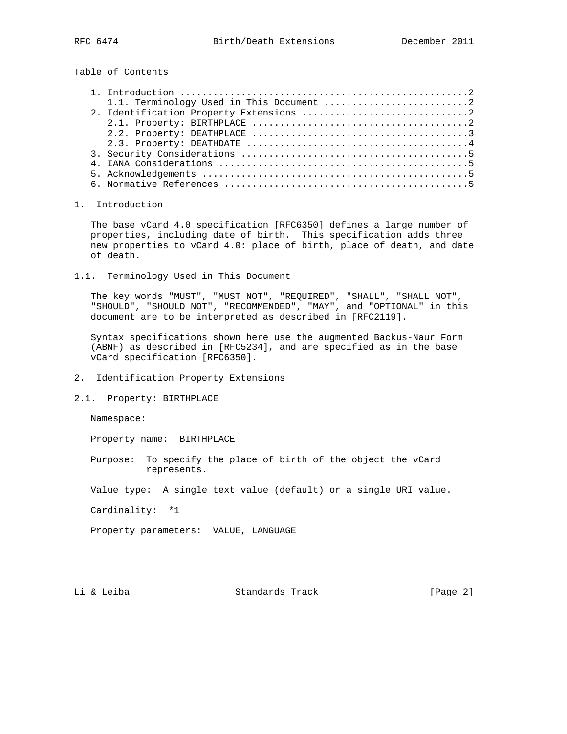Table of Contents

## 1. Introduction

 The base vCard 4.0 specification [RFC6350] defines a large number of properties, including date of birth. This specification adds three new properties to vCard 4.0: place of birth, place of death, and date of death.

1.1. Terminology Used in This Document

 The key words "MUST", "MUST NOT", "REQUIRED", "SHALL", "SHALL NOT", "SHOULD", "SHOULD NOT", "RECOMMENDED", "MAY", and "OPTIONAL" in this document are to be interpreted as described in [RFC2119].

 Syntax specifications shown here use the augmented Backus-Naur Form (ABNF) as described in [RFC5234], and are specified as in the base vCard specification [RFC6350].

- 2. Identification Property Extensions
- 2.1. Property: BIRTHPLACE

Namespace:

Property name: BIRTHPLACE

 Purpose: To specify the place of birth of the object the vCard represents.

Value type: A single text value (default) or a single URI value.

Cardinality: \*1

Property parameters: VALUE, LANGUAGE

Li & Leiba Standards Track [Page 2]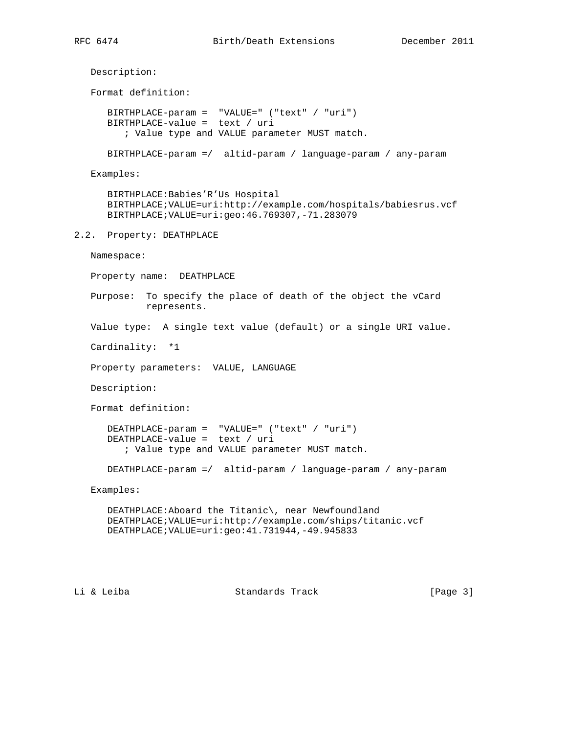Description: Format definition: BIRTHPLACE-param = "VALUE=" ("text" / "uri") BIRTHPLACE-value = text / uri ; Value type and VALUE parameter MUST match. BIRTHPLACE-param =/ altid-param / language-param / any-param Examples: BIRTHPLACE:Babies'R'Us Hospital BIRTHPLACE;VALUE=uri:http://example.com/hospitals/babiesrus.vcf BIRTHPLACE;VALUE=uri:geo:46.769307,-71.283079 2.2. Property: DEATHPLACE Namespace: Property name: DEATHPLACE Purpose: To specify the place of death of the object the vCard represents. Value type: A single text value (default) or a single URI value. Cardinality: \*1 Property parameters: VALUE, LANGUAGE Description: Format definition: DEATHPLACE-param = "VALUE=" ("text" / "uri") DEATHPLACE-value = text / uri ; Value type and VALUE parameter MUST match. DEATHPLACE-param =/ altid-param / language-param / any-param Examples: DEATHPLACE:Aboard the Titanic\, near Newfoundland DEATHPLACE;VALUE=uri:http://example.com/ships/titanic.vcf DEATHPLACE;VALUE=uri:geo:41.731944,-49.945833

Li & Leiba Standards Track [Page 3]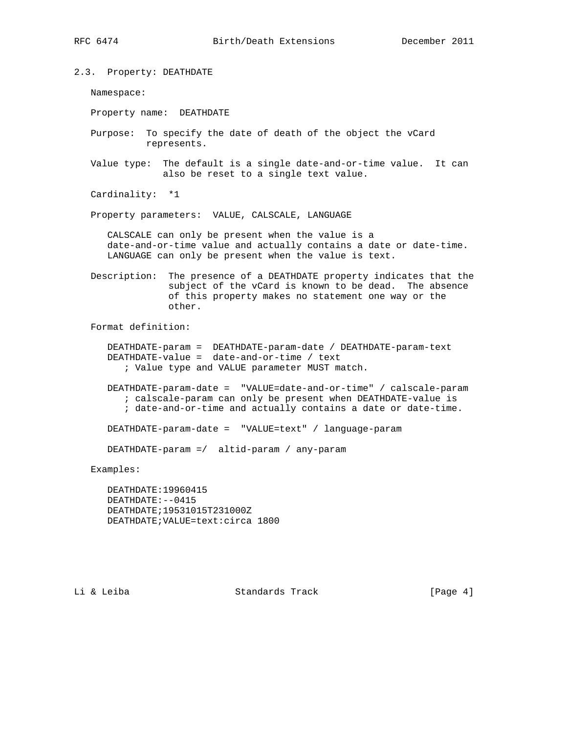2.3. Property: DEATHDATE

Namespace:

Property name: DEATHDATE

- Purpose: To specify the date of death of the object the vCard represents.
- Value type: The default is a single date-and-or-time value. It can also be reset to a single text value.

Cardinality: \*1

Property parameters: VALUE, CALSCALE, LANGUAGE

 CALSCALE can only be present when the value is a date-and-or-time value and actually contains a date or date-time. LANGUAGE can only be present when the value is text.

 Description: The presence of a DEATHDATE property indicates that the subject of the vCard is known to be dead. The absence of this property makes no statement one way or the other.

Format definition:

 DEATHDATE-param = DEATHDATE-param-date / DEATHDATE-param-text DEATHDATE-value = date-and-or-time / text ; Value type and VALUE parameter MUST match.

 DEATHDATE-param-date = "VALUE=date-and-or-time" / calscale-param ; calscale-param can only be present when DEATHDATE-value is ; date-and-or-time and actually contains a date or date-time.

DEATHDATE-param-date = "VALUE=text" / language-param

DEATHDATE-param =/ altid-param / any-param

Examples:

 DEATHDATE:19960415 DEATHDATE:--0415 DEATHDATE;19531015T231000Z DEATHDATE;VALUE=text:circa 1800

Li & Leiba Standards Track [Page 4]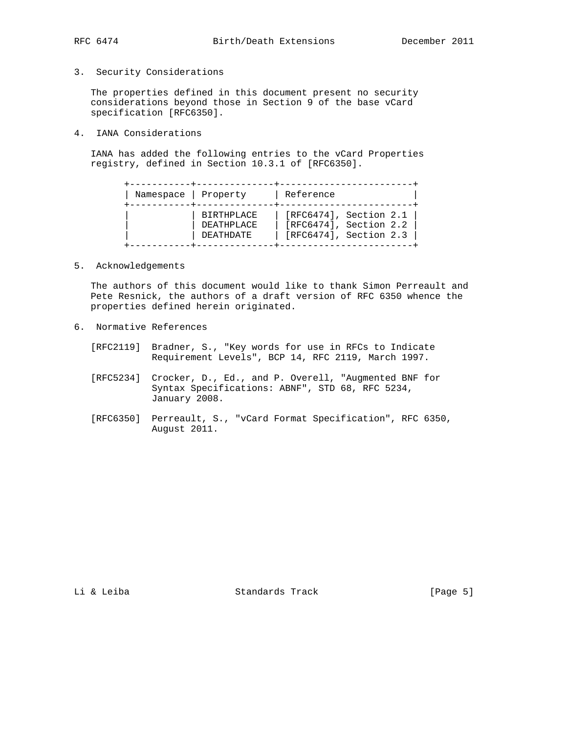3. Security Considerations

 The properties defined in this document present no security considerations beyond those in Section 9 of the base vCard specification [RFC6350].

4. IANA Considerations

 IANA has added the following entries to the vCard Properties registry, defined in Section 10.3.1 of [RFC6350].

| Namespace   Property |                                                     | Reference                                                                           |
|----------------------|-----------------------------------------------------|-------------------------------------------------------------------------------------|
|                      | <b>BIRTHPLACE</b><br>DEATHPLACE<br><b>DEATHDATE</b> | $[RFC6474]$ , Section 2.1<br>$[RFC6474]$ , Section 2.2<br>$[RFC6474]$ , Section 2.3 |

5. Acknowledgements

 The authors of this document would like to thank Simon Perreault and Pete Resnick, the authors of a draft version of RFC 6350 whence the properties defined herein originated.

- 6. Normative References
	- [RFC2119] Bradner, S., "Key words for use in RFCs to Indicate Requirement Levels", BCP 14, RFC 2119, March 1997.
	- [RFC5234] Crocker, D., Ed., and P. Overell, "Augmented BNF for Syntax Specifications: ABNF", STD 68, RFC 5234, January 2008.
	- [RFC6350] Perreault, S., "vCard Format Specification", RFC 6350, August 2011.

Li & Leiba Standards Track [Page 5]